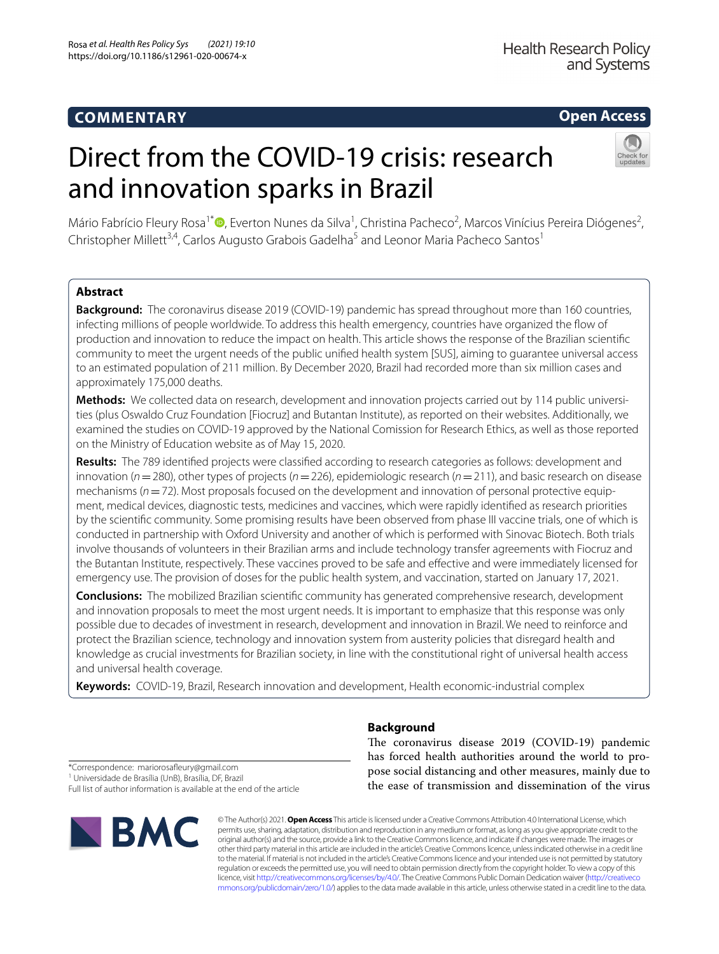# **COMMENTARY**

**Health Research Policy** and Systems

# **Open Access**

# Direct from the COVID-19 crisis: research and innovation sparks in Brazil



Mário Fabrício Fleury Rosa<sup>1\*</sup>®[,](http://orcid.org/0000-0002-4821-9007) Everton Nunes da Silva<sup>1</sup>, Christina Pacheco<sup>2</sup>, Marcos Vinícius Pereira Diógenes<sup>2</sup>, Christopher Millett<sup>3,4</sup>, Carlos Augusto Grabois Gadelha<sup>5</sup> and Leonor Maria Pacheco Santos<sup>1</sup>

# **Abstract**

**Background:** The coronavirus disease 2019 (COVID-19) pandemic has spread throughout more than 160 countries, infecting millions of people worldwide. To address this health emergency, countries have organized the fow of production and innovation to reduce the impact on health. This article shows the response of the Brazilian scientifc community to meet the urgent needs of the public unifed health system [SUS], aiming to guarantee universal access to an estimated population of 211 million. By December 2020, Brazil had recorded more than six million cases and approximately 175,000 deaths.

**Methods:** We collected data on research, development and innovation projects carried out by 114 public universities (plus Oswaldo Cruz Foundation [Fiocruz] and Butantan Institute), as reported on their websites. Additionally, we examined the studies on COVID-19 approved by the National Comission for Research Ethics, as well as those reported on the Ministry of Education website as of May 15, 2020.

**Results:** The 789 identifed projects were classifed according to research categories as follows: development and innovation (*n*=280), other types of projects (*n*=226), epidemiologic research (*n*=211), and basic research on disease mechanisms ( $n=72$ ). Most proposals focused on the development and innovation of personal protective equipment, medical devices, diagnostic tests, medicines and vaccines, which were rapidly identifed as research priorities by the scientifc community. Some promising results have been observed from phase III vaccine trials, one of which is conducted in partnership with Oxford University and another of which is performed with Sinovac Biotech. Both trials involve thousands of volunteers in their Brazilian arms and include technology transfer agreements with Fiocruz and the Butantan Institute, respectively. These vaccines proved to be safe and efective and were immediately licensed for emergency use. The provision of doses for the public health system, and vaccination, started on January 17, 2021.

**Conclusions:** The mobilized Brazilian scientifc community has generated comprehensive research, development and innovation proposals to meet the most urgent needs. It is important to emphasize that this response was only possible due to decades of investment in research, development and innovation in Brazil. We need to reinforce and protect the Brazilian science, technology and innovation system from austerity policies that disregard health and knowledge as crucial investments for Brazilian society, in line with the constitutional right of universal health access and universal health coverage.

**Keywords:** COVID-19, Brazil, Research innovation and development, Health economic-industrial complex

**Background**

The coronavirus disease 2019 (COVID-19) pandemic has forced health authorities around the world to propose social distancing and other measures, mainly due to the ease of transmission and dissemination of the virus

\*Correspondence: mariorosafeury@gmail.com

<sup>1</sup> Universidade de Brasília (UnB), Brasília, DF, Brazil Full list of author information is available at the end of the article



© The Author(s) 2021. **Open Access** This article is licensed under a Creative Commons Attribution 4.0 International License, which permits use, sharing, adaptation, distribution and reproduction in any medium or format, as long as you give appropriate credit to the original author(s) and the source, provide a link to the Creative Commons licence, and indicate if changes were made. The images or other third party material in this article are included in the article's Creative Commons licence, unless indicated otherwise in a credit line to the material. If material is not included in the article's Creative Commons licence and your intended use is not permitted by statutory regulation or exceeds the permitted use, you will need to obtain permission directly from the copyright holder. To view a copy of this licence, visit [http://creativecommons.org/licenses/by/4.0/.](http://creativecommons.org/licenses/by/4.0/) The Creative Commons Public Domain Dedication waiver ([http://creativeco](http://creativecommons.org/publicdomain/zero/1.0/) [mmons.org/publicdomain/zero/1.0/](http://creativecommons.org/publicdomain/zero/1.0/)) applies to the data made available in this article, unless otherwise stated in a credit line to the data.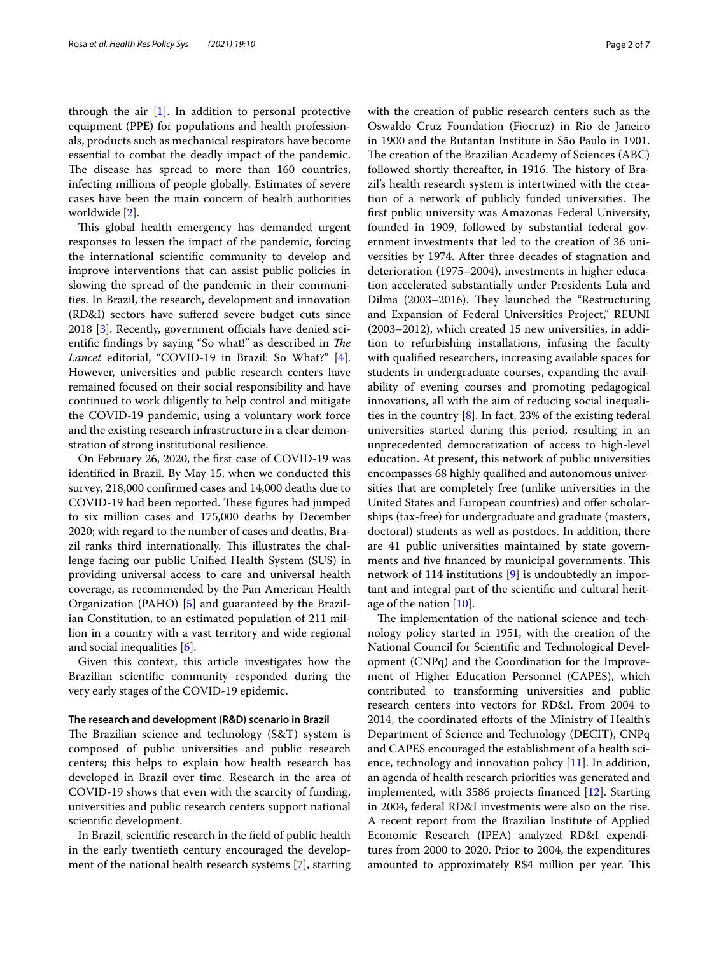through the air  $[1]$  $[1]$ . In addition to personal protective equipment (PPE) for populations and health professionals, products such as mechanical respirators have become essential to combat the deadly impact of the pandemic. The disease has spread to more than 160 countries, infecting millions of people globally. Estimates of severe cases have been the main concern of health authorities worldwide [\[2](#page-5-1)].

This global health emergency has demanded urgent responses to lessen the impact of the pandemic, forcing the international scientifc community to develop and improve interventions that can assist public policies in slowing the spread of the pandemic in their communities. In Brazil, the research, development and innovation (RD&I) sectors have sufered severe budget cuts since 2018 [[3\]](#page-5-2). Recently, government officials have denied scientific findings by saying "So what!" as described in *The Lancet* editorial, "COVID-19 in Brazil: So What?" [\[4](#page-5-3)]. However, universities and public research centers have remained focused on their social responsibility and have continued to work diligently to help control and mitigate the COVID-19 pandemic, using a voluntary work force and the existing research infrastructure in a clear demonstration of strong institutional resilience.

On February 26, 2020, the frst case of COVID-19 was identifed in Brazil. By May 15, when we conducted this survey, 218,000 confrmed cases and 14,000 deaths due to COVID-19 had been reported. These figures had jumped to six million cases and 175,000 deaths by December 2020; with regard to the number of cases and deaths, Brazil ranks third internationally. This illustrates the challenge facing our public Unifed Health System (SUS) in providing universal access to care and universal health coverage, as recommended by the Pan American Health Organization (PAHO) [\[5](#page-5-4)] and guaranteed by the Brazilian Constitution, to an estimated population of 211 million in a country with a vast territory and wide regional and social inequalities [\[6](#page-5-5)].

Given this context, this article investigates how the Brazilian scientifc community responded during the very early stages of the COVID-19 epidemic.

#### **The research and development (R&D) scenario in Brazil**

The Brazilian science and technology  $(S&T)$  system is composed of public universities and public research centers; this helps to explain how health research has developed in Brazil over time. Research in the area of COVID-19 shows that even with the scarcity of funding, universities and public research centers support national scientifc development.

In Brazil, scientifc research in the feld of public health in the early twentieth century encouraged the development of the national health research systems [\[7](#page-5-6)], starting with the creation of public research centers such as the Oswaldo Cruz Foundation (Fiocruz) in Rio de Janeiro in 1900 and the Butantan Institute in São Paulo in 1901. The creation of the Brazilian Academy of Sciences (ABC) followed shortly thereafter, in 1916. The history of Brazil's health research system is intertwined with the creation of a network of publicly funded universities. The frst public university was Amazonas Federal University, founded in 1909, followed by substantial federal government investments that led to the creation of 36 universities by 1974. After three decades of stagnation and deterioration (1975–2004), investments in higher education accelerated substantially under Presidents Lula and Dilma (2003–2016). They launched the "Restructuring and Expansion of Federal Universities Project," REUNI (2003–2012), which created 15 new universities, in addition to refurbishing installations, infusing the faculty with qualifed researchers, increasing available spaces for students in undergraduate courses, expanding the availability of evening courses and promoting pedagogical innovations, all with the aim of reducing social inequalities in the country  $[8]$  $[8]$ . In fact, 23% of the existing federal universities started during this period, resulting in an unprecedented democratization of access to high-level education. At present, this network of public universities encompasses 68 highly qualifed and autonomous universities that are completely free (unlike universities in the United States and European countries) and offer scholarships (tax-free) for undergraduate and graduate (masters, doctoral) students as well as postdocs. In addition, there are 41 public universities maintained by state governments and five financed by municipal governments. This network of 114 institutions [[9](#page-5-8)] is undoubtedly an important and integral part of the scientifc and cultural heritage of the nation [\[10](#page-5-9)].

The implementation of the national science and technology policy started in 1951, with the creation of the National Council for Scientifc and Technological Development (CNPq) and the Coordination for the Improvement of Higher Education Personnel (CAPES), which contributed to transforming universities and public research centers into vectors for RD&I. From 2004 to 2014, the coordinated efforts of the Ministry of Health's Department of Science and Technology (DECIT), CNPq and CAPES encouraged the establishment of a health science, technology and innovation policy [[11](#page-5-10)]. In addition, an agenda of health research priorities was generated and implemented, with 3586 projects fnanced [\[12](#page-5-11)]. Starting in 2004, federal RD&I investments were also on the rise. A recent report from the Brazilian Institute of Applied Economic Research (IPEA) analyzed RD&I expenditures from 2000 to 2020. Prior to 2004, the expenditures amounted to approximately R\$4 million per year. This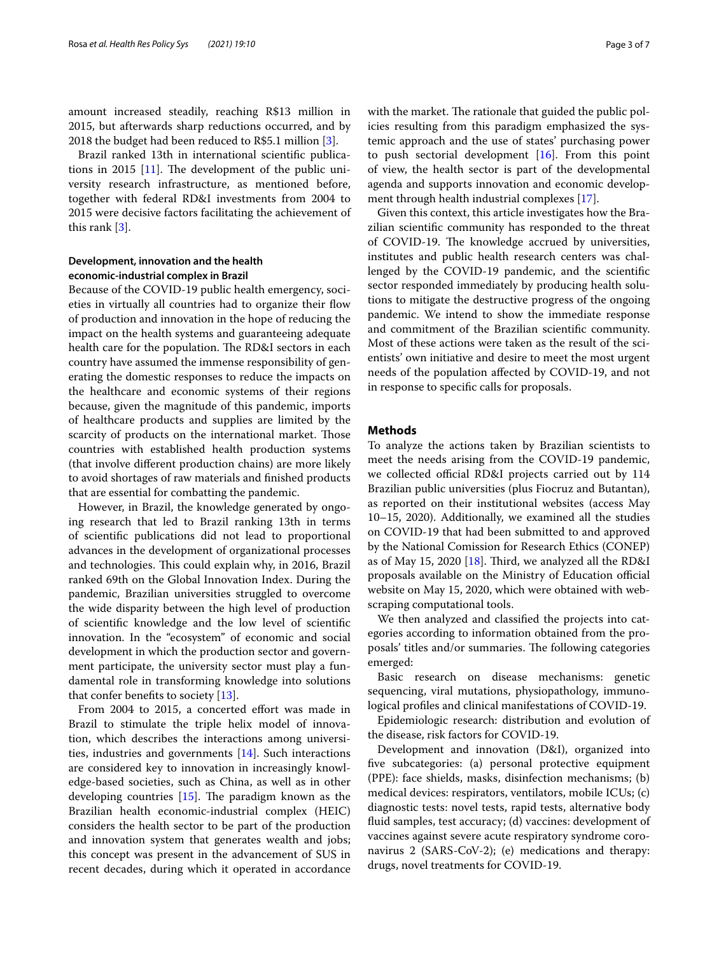amount increased steadily, reaching R\$13 million in 2015, but afterwards sharp reductions occurred, and by 2018 the budget had been reduced to R\$5.1 million [\[3](#page-5-2)].

Brazil ranked 13th in international scientifc publications in 2015  $[11]$  $[11]$ . The development of the public university research infrastructure, as mentioned before, together with federal RD&I investments from 2004 to 2015 were decisive factors facilitating the achievement of this rank [\[3](#page-5-2)].

# **Development, innovation and the health economic‑industrial complex in Brazil**

Because of the COVID-19 public health emergency, societies in virtually all countries had to organize their fow of production and innovation in the hope of reducing the impact on the health systems and guaranteeing adequate health care for the population. The RD&I sectors in each country have assumed the immense responsibility of generating the domestic responses to reduce the impacts on the healthcare and economic systems of their regions because, given the magnitude of this pandemic, imports of healthcare products and supplies are limited by the scarcity of products on the international market. Those countries with established health production systems (that involve diferent production chains) are more likely to avoid shortages of raw materials and fnished products that are essential for combatting the pandemic.

However, in Brazil, the knowledge generated by ongoing research that led to Brazil ranking 13th in terms of scientifc publications did not lead to proportional advances in the development of organizational processes and technologies. This could explain why, in 2016, Brazil ranked 69th on the Global Innovation Index. During the pandemic, Brazilian universities struggled to overcome the wide disparity between the high level of production of scientifc knowledge and the low level of scientifc innovation. In the "ecosystem" of economic and social development in which the production sector and government participate, the university sector must play a fundamental role in transforming knowledge into solutions that confer benefts to society [[13\]](#page-5-12).

From 2004 to 2015, a concerted effort was made in Brazil to stimulate the triple helix model of innovation, which describes the interactions among universities, industries and governments [[14](#page-5-13)]. Such interactions are considered key to innovation in increasingly knowledge-based societies, such as China, as well as in other developing countries  $[15]$  $[15]$ . The paradigm known as the Brazilian health economic-industrial complex (HEIC) considers the health sector to be part of the production and innovation system that generates wealth and jobs; this concept was present in the advancement of SUS in recent decades, during which it operated in accordance with the market. The rationale that guided the public policies resulting from this paradigm emphasized the systemic approach and the use of states' purchasing power to push sectorial development  $[16]$ . From this point of view, the health sector is part of the developmental agenda and supports innovation and economic development through health industrial complexes [\[17](#page-6-0)].

Given this context, this article investigates how the Brazilian scientifc community has responded to the threat of COVID-19. The knowledge accrued by universities, institutes and public health research centers was challenged by the COVID-19 pandemic, and the scientifc sector responded immediately by producing health solutions to mitigate the destructive progress of the ongoing pandemic. We intend to show the immediate response and commitment of the Brazilian scientifc community. Most of these actions were taken as the result of the scientists' own initiative and desire to meet the most urgent needs of the population afected by COVID-19, and not in response to specifc calls for proposals.

### **Methods**

To analyze the actions taken by Brazilian scientists to meet the needs arising from the COVID-19 pandemic, we collected official RD&I projects carried out by 114 Brazilian public universities (plus Fiocruz and Butantan), as reported on their institutional websites (access May 10–15, 2020). Additionally, we examined all the studies on COVID-19 that had been submitted to and approved by the National Comission for Research Ethics (CONEP) as of May 15, 2020 [\[18\]](#page-6-1). Third, we analyzed all the RD&I proposals available on the Ministry of Education official website on May 15, 2020, which were obtained with webscraping computational tools.

We then analyzed and classifed the projects into categories according to information obtained from the proposals' titles and/or summaries. The following categories emerged:

Basic research on disease mechanisms: genetic sequencing, viral mutations, physiopathology, immunological profles and clinical manifestations of COVID-19.

Epidemiologic research: distribution and evolution of the disease, risk factors for COVID-19.

Development and innovation (D&I), organized into fve subcategories: (a) personal protective equipment (PPE): face shields, masks, disinfection mechanisms; (b) medical devices: respirators, ventilators, mobile ICUs; (c) diagnostic tests: novel tests, rapid tests, alternative body fuid samples, test accuracy; (d) vaccines: development of vaccines against severe acute respiratory syndrome coronavirus 2 (SARS-CoV-2); (e) medications and therapy: drugs, novel treatments for COVID-19.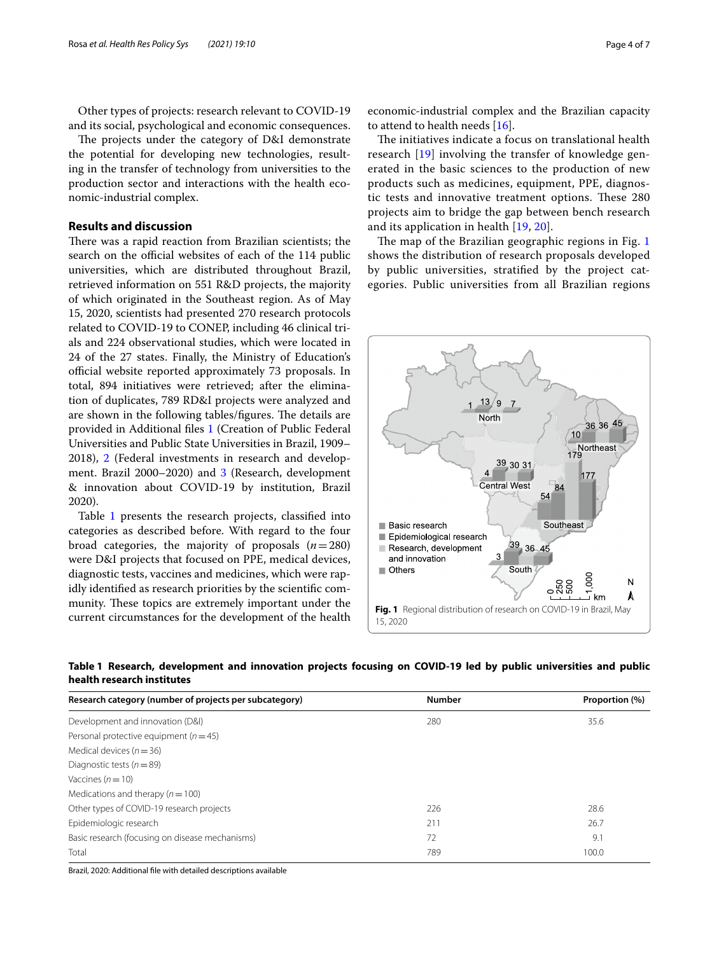Other types of projects: research relevant to COVID-19 and its social, psychological and economic consequences.

The projects under the category of D&I demonstrate the potential for developing new technologies, resulting in the transfer of technology from universities to the production sector and interactions with the health economic-industrial complex.

## **Results and discussion**

There was a rapid reaction from Brazilian scientists; the search on the official websites of each of the 114 public universities, which are distributed throughout Brazil, retrieved information on 551 R&D projects, the majority of which originated in the Southeast region. As of May 15, 2020, scientists had presented 270 research protocols related to COVID-19 to CONEP, including 46 clinical trials and 224 observational studies, which were located in 24 of the 27 states. Finally, the Ministry of Education's official website reported approximately 73 proposals. In total, 894 initiatives were retrieved; after the elimination of duplicates, 789 RD&I projects were analyzed and are shown in the following tables/figures. The details are provided in Additional fles [1](#page-5-16) (Creation of Public Federal Universities and Public State Universities in Brazil, 1909– 2018), [2](#page-5-17) (Federal investments in research and development. Brazil 2000–2020) and [3](#page-5-18) (Research, development & innovation about COVID-19 by institution, Brazil 2020).

Table [1](#page-3-0) presents the research projects, classified into categories as described before. With regard to the four broad categories, the majority of proposals  $(n=280)$ were D&I projects that focused on PPE, medical devices, diagnostic tests, vaccines and medicines, which were rapidly identifed as research priorities by the scientifc community. These topics are extremely important under the current circumstances for the development of the health economic-industrial complex and the Brazilian capacity to attend to health needs [\[16](#page-5-15)].

The initiatives indicate a focus on translational health research [[19](#page-6-2)] involving the transfer of knowledge generated in the basic sciences to the production of new products such as medicines, equipment, PPE, diagnostic tests and innovative treatment options. These 280 projects aim to bridge the gap between bench research and its application in health [[19,](#page-6-2) [20\]](#page-6-3).

The map of the Brazilian geographic regions in Fig.  $1$ shows the distribution of research proposals developed by public universities, stratifed by the project categories. Public universities from all Brazilian regions

<span id="page-3-1"></span>

<span id="page-3-0"></span>

|                            | Table 1 Research, development and innovation projects focusing on COVID-19 led by public universities and public |  |  |  |  |  |  |
|----------------------------|------------------------------------------------------------------------------------------------------------------|--|--|--|--|--|--|
| health research institutes |                                                                                                                  |  |  |  |  |  |  |

| Research category (number of projects per subcategory) | <b>Number</b> | Proportion (%) |
|--------------------------------------------------------|---------------|----------------|
| Development and innovation (D&I)                       | 280           | 35.6           |
| Personal protective equipment ( $n = 45$ )             |               |                |
| Medical devices ( $n = 36$ )                           |               |                |
| Diagnostic tests ( $n = 89$ )                          |               |                |
| Vaccines $(n=10)$                                      |               |                |
| Medications and therapy ( $n = 100$ )                  |               |                |
| Other types of COVID-19 research projects              | 226           | 28.6           |
| Epidemiologic research                                 | 211           | 26.7           |
| Basic research (focusing on disease mechanisms)        | 72            | 9.1            |
| Total                                                  | 789           | 100.0          |

Brazil, 2020: Additional fle with detailed descriptions available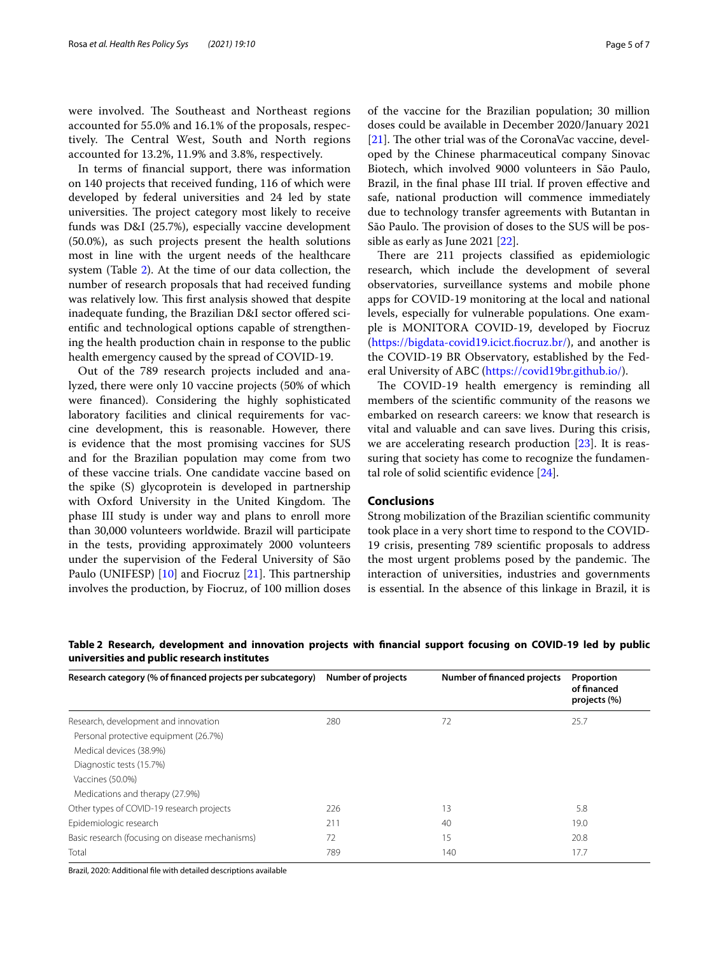were involved. The Southeast and Northeast regions accounted for 55.0% and 16.1% of the proposals, respectively. The Central West, South and North regions accounted for 13.2%, 11.9% and 3.8%, respectively.

In terms of fnancial support, there was information on 140 projects that received funding, 116 of which were developed by federal universities and 24 led by state universities. The project category most likely to receive funds was D&I (25.7%), especially vaccine development (50.0%), as such projects present the health solutions most in line with the urgent needs of the healthcare system (Table [2\)](#page-4-0). At the time of our data collection, the number of research proposals that had received funding was relatively low. This first analysis showed that despite inadequate funding, the Brazilian D&I sector offered scientifc and technological options capable of strengthening the health production chain in response to the public health emergency caused by the spread of COVID-19.

Out of the 789 research projects included and analyzed, there were only 10 vaccine projects (50% of which were fnanced). Considering the highly sophisticated laboratory facilities and clinical requirements for vaccine development, this is reasonable. However, there is evidence that the most promising vaccines for SUS and for the Brazilian population may come from two of these vaccine trials. One candidate vaccine based on the spike (S) glycoprotein is developed in partnership with Oxford University in the United Kingdom. The phase III study is under way and plans to enroll more than 30,000 volunteers worldwide. Brazil will participate in the tests, providing approximately 2000 volunteers under the supervision of the Federal University of São Paulo (UNIFESP)  $[10]$  $[10]$  and Fiocruz  $[21]$  $[21]$ . This partnership involves the production, by Fiocruz, of 100 million doses of the vaccine for the Brazilian population; 30 million doses could be available in December 2020/January 2021 [[21\]](#page-6-4). The other trial was of the CoronaVac vaccine, developed by the Chinese pharmaceutical company Sinovac Biotech, which involved 9000 volunteers in São Paulo, Brazil, in the fnal phase III trial. If proven efective and safe, national production will commence immediately due to technology transfer agreements with Butantan in São Paulo. The provision of doses to the SUS will be possible as early as June 2021 [[22](#page-6-5)].

There are 211 projects classified as epidemiologic research, which include the development of several observatories, surveillance systems and mobile phone apps for COVID-19 monitoring at the local and national levels, especially for vulnerable populations. One example is MONITORA COVID-19, developed by Fiocruz ([https://bigdata-covid19.icict.focruz.br/\)](https://bigdata-covid19.icict.fiocruz.br/), and another is the COVID-19 BR Observatory, established by the Federal University of ABC [\(https://covid19br.github.io/](https://covid19br.github.io/)).

The COVID-19 health emergency is reminding all members of the scientifc community of the reasons we embarked on research careers: we know that research is vital and valuable and can save lives. During this crisis, we are accelerating research production [\[23](#page-6-6)]. It is reassuring that society has come to recognize the fundamental role of solid scientifc evidence [[24\]](#page-6-7).

#### **Conclusions**

Strong mobilization of the Brazilian scientifc community took place in a very short time to respond to the COVID-19 crisis, presenting 789 scientifc proposals to address the most urgent problems posed by the pandemic. The interaction of universities, industries and governments is essential. In the absence of this linkage in Brazil, it is

| Research category (% of financed projects per subcategory) | Number of projects | Number of financed projects | Proportion<br>of financed<br>projects (%) |
|------------------------------------------------------------|--------------------|-----------------------------|-------------------------------------------|
| Research, development and innovation                       | 280                | 72                          | 25.7                                      |
| Personal protective equipment (26.7%)                      |                    |                             |                                           |
| Medical devices (38.9%)                                    |                    |                             |                                           |
| Diagnostic tests (15.7%)                                   |                    |                             |                                           |
| Vaccines (50.0%)                                           |                    |                             |                                           |
| Medications and therapy (27.9%)                            |                    |                             |                                           |
| Other types of COVID-19 research projects                  | 226                | 13                          | 5.8                                       |
| Epidemiologic research                                     | 211                | 40                          | 19.0                                      |
| Basic research (focusing on disease mechanisms)            | 72                 | 15                          | 20.8                                      |
| Total                                                      | 789                | 140                         | 17.7                                      |

<span id="page-4-0"></span>**Table 2 Research, development and innovation projects with fnancial support focusing on COVID-19 led by public universities and public research institutes**

Brazil, 2020: Additional fle with detailed descriptions available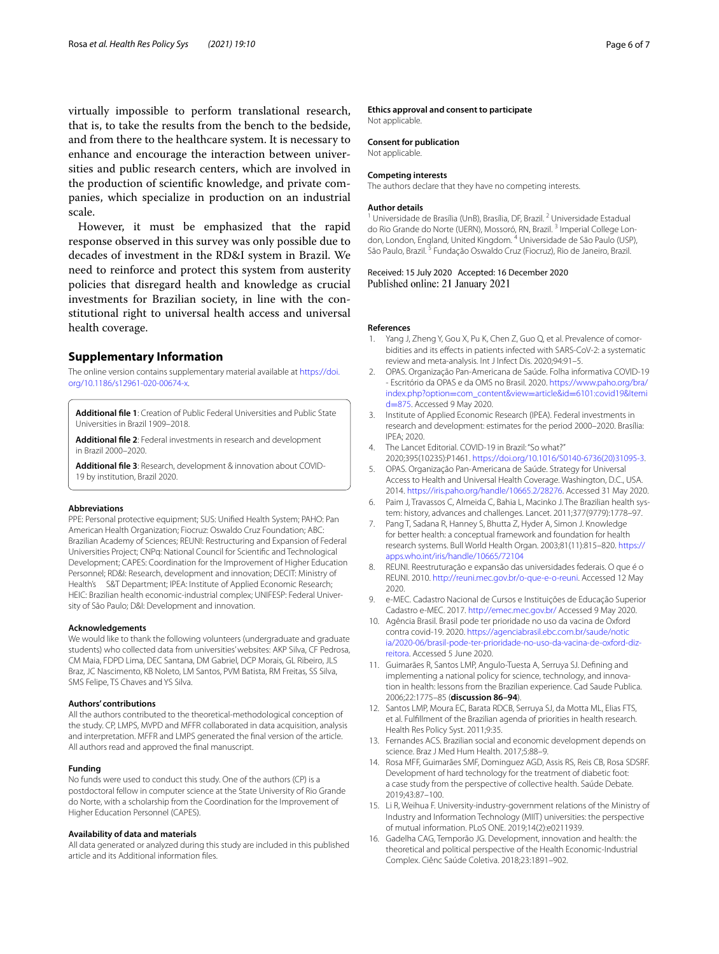virtually impossible to perform translational research, that is, to take the results from the bench to the bedside, and from there to the healthcare system. It is necessary to enhance and encourage the interaction between universities and public research centers, which are involved in the production of scientifc knowledge, and private companies, which specialize in production on an industrial scale.

However, it must be emphasized that the rapid response observed in this survey was only possible due to decades of investment in the RD&I system in Brazil. We need to reinforce and protect this system from austerity policies that disregard health and knowledge as crucial investments for Brazilian society, in line with the constitutional right to universal health access and universal health coverage.

## **Supplementary Information**

The online version contains supplementary material available at [https://doi.](https://doi.org/10.1186/s12961-020-00674-x) [org/10.1186/s12961-020-00674-x.](https://doi.org/10.1186/s12961-020-00674-x)

<span id="page-5-17"></span><span id="page-5-16"></span>**Additional fle 1**: Creation of Public Federal Universities and Public State Universities in Brazil 1909–2018.

<span id="page-5-18"></span>**Additional fle 2**: Federal investments in research and development in Brazil 2000–2020.

**Additional fle 3**: Research, development & innovation about COVID-19 by institution, Brazil 2020.

#### **Abbreviations**

PPE: Personal protective equipment; SUS: Unifed Health System; PAHO: Pan American Health Organization; Fiocruz: Oswaldo Cruz Foundation; ABC: Brazilian Academy of Sciences; REUNI: Restructuring and Expansion of Federal Universities Project; CNPq: National Council for Scientifc and Technological Development; CAPES: Coordination for the Improvement of Higher Education Personnel; RD&I: Research, development and innovation; DECIT: Ministry of Health's S&T Department; IPEA: Institute of Applied Economic Research; HEIC: Brazilian health economic-industrial complex; UNIFESP: Federal University of São Paulo; D&I: Development and innovation.

#### **Acknowledgements**

We would like to thank the following volunteers (undergraduate and graduate students) who collected data from universities' websites: AKP Silva, CF Pedrosa, CM Maia, FDPD Lima, DEC Santana, DM Gabriel, DCP Morais, GL Ribeiro, JLS Braz, JC Nascimento, KB Noleto, LM Santos, PVM Batista, RM Freitas, SS Silva, SMS Felipe, TS Chaves and YS Silva.

#### **Authors' contributions**

All the authors contributed to the theoretical-methodological conception of the study. CP, LMPS, MVPD and MFFR collaborated in data acquisition, analysis and interpretation. MFFR and LMPS generated the fnal version of the article. All authors read and approved the fnal manuscript.

#### **Funding**

No funds were used to conduct this study. One of the authors (CP) is a postdoctoral fellow in computer science at the State University of Rio Grande do Norte, with a scholarship from the Coordination for the Improvement of Higher Education Personnel (CAPES).

#### **Availability of data and materials**

All data generated or analyzed during this study are included in this published article and its Additional information fles.

#### **Ethics approval and consent to participate** Not applicable.

# **Consent for publication**

Not applicable.

#### **Competing interests**

The authors declare that they have no competing interests.

#### **Author details**

<sup>1</sup> Universidade de Brasília (UnB), Brasília, DF, Brazil. <sup>2</sup> Universidade Estadual do Rio Grande do Norte (UERN), Mossoró, RN, Brazil.<sup>3</sup> Imperial College London, London, England, United Kingdom. 4 Universidade de São Paulo (USP), São Paulo, Brazil.<sup>5</sup> Fundação Oswaldo Cruz (Fiocruz), Rio de Janeiro, Brazil.

#### Received: 15 July 2020 Accepted: 16 December 2020 Published online: 21 January 2021

#### **References**

- <span id="page-5-0"></span>1. Yang J, Zheng Y, Gou X, Pu K, Chen Z, Guo Q, et al. Prevalence of comorbidities and its efects in patients infected with SARS-CoV-2: a systematic review and meta-analysis. Int J Infect Dis. 2020;94:91–5.
- <span id="page-5-1"></span>2. OPAS. Organização Pan-Americana de Saúde. Folha informativa COVID-19 - Escritório da OPAS e da OMS no Brasil. 2020. [https://www.paho.org/bra/](https://www.paho.org/bra/index.php?option=com_content&view=article&id=6101:covid19&Itemid=875) index.php?option=com\_content&view=article&id=[6101:covid19&Itemi](https://www.paho.org/bra/index.php?option=com_content&view=article&id=6101:covid19&Itemid=875) d=875. Accessed 9 May 2020.
- <span id="page-5-2"></span>3. [Institute](https://www.paho.org/bra/index.php?option=com_content&view=article&id=6101:covid19&Itemid=875) of Applied Economic Research (IPEA). Federal investments in research and development: estimates for the period 2000–2020. Brasília: IPEA; 2020.
- <span id="page-5-3"></span>4. The Lancet Editorial. COVID-19 in Brazil: "So what?" 2020;395(10235):P1461. [https://doi.org/10.1016/S0140-6736\(20\)31095-3.](https://doi.org/10.1016/S0140-6736(20)31095-3)
- <span id="page-5-4"></span>5. OPAS. Organização Pan-Americana de Saúde. Strategy for Universal Access to Health and Universal Health Coverage. Washington, D.C., USA. 2014.<https://iris.paho.org/handle/10665.2/28276>. Accessed 31 May 2020.
- <span id="page-5-5"></span>6. Paim J, Travassos C, Almeida C, Bahia L, Macinko J. The Brazilian health system: history, advances and challenges. Lancet. 2011;377(9779):1778–97.
- <span id="page-5-6"></span>7. Pang T, Sadana R, Hanney S, Bhutta Z, Hyder A, Simon J. Knowledge for better health: a conceptual framework and foundation for health research systems. Bull World Health Organ. 2003;81(11):815–820. [https://](https://apps.who.int/iris/handle/10665/72104) [apps.who.int/iris/handle/10665/72104](https://apps.who.int/iris/handle/10665/72104)
- <span id="page-5-7"></span>8. REUNI. Reestruturação e expansão das universidades federais. O que é o REUNI. 2010. <http://reuni.mec.gov.br/o-que-e-o-reuni>. Accessed 12 May 2020.
- <span id="page-5-8"></span>9. e-MEC. Cadastro Nacional de Cursos e Instituições de Educação Superior Cadastro e-MEC. 2017. <http://emec.mec.gov.br/> Accessed 9 May 2020.
- <span id="page-5-9"></span>10. Agência Brasil. Brasil pode ter prioridade no uso da vacina de Oxford contra covid-19. 2020. [https://agenciabrasil.ebc.com.br/saude/notic](https://agenciabrasil.ebc.com.br/saude/noticia/2020-06/brasil-pode-ter-prioridade-no-uso-da-vacina-de-oxford-diz-reitora) [ia/2020-06/brasil-pode-ter-prioridade-no-uso-da-vacina-de-oxford-diz](https://agenciabrasil.ebc.com.br/saude/noticia/2020-06/brasil-pode-ter-prioridade-no-uso-da-vacina-de-oxford-diz-reitora)[reitora.](https://agenciabrasil.ebc.com.br/saude/noticia/2020-06/brasil-pode-ter-prioridade-no-uso-da-vacina-de-oxford-diz-reitora) Accessed 5 June 2020.
- <span id="page-5-10"></span>11. Guimarães R, Santos LMP, Angulo-Tuesta A, Serruya SJ. Defning and implementing a national policy for science, technology, and innovation in health: lessons from the Brazilian experience. Cad Saude Publica. 2006;22:1775–85 (**discussion 86–94**).
- <span id="page-5-11"></span>12. Santos LMP, Moura EC, Barata RDCB, Serruya SJ, da Motta ML, Elias FTS, et al. Fulfllment of the Brazilian agenda of priorities in health research. Health Res Policy Syst. 2011;9:35.
- <span id="page-5-12"></span>13. Fernandes ACS. Brazilian social and economic development depends on science. Braz J Med Hum Health. 2017;5:88–9.
- <span id="page-5-13"></span>14. Rosa MFF, Guimarães SMF, Dominguez AGD, Assis RS, Reis CB, Rosa SDSRF. Development of hard technology for the treatment of diabetic foot: a case study from the perspective of collective health. Saúde Debate. 2019;43:87–100.
- <span id="page-5-14"></span>15. Li R, Weihua F. University-industry-government relations of the Ministry of Industry and Information Technology (MIIT) universities: the perspective of mutual information. PLoS ONE. 2019;14(2):e0211939.
- <span id="page-5-15"></span>16. Gadelha CAG, Temporão JG. Development, innovation and health: the theoretical and political perspective of the Health Economic-Industrial Complex. Ciênc Saúde Coletiva. 2018;23:1891–902.